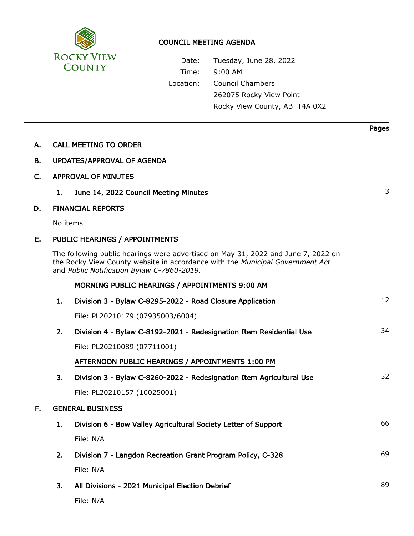

## COUNCIL MEETING AGENDA

Date: Tuesday, June 28, 2022 Time: 9:00 AM Location: Council Chambers 262075 Rocky View Point Rocky View County, AB T4A 0X2

Pages

| Α.  |                                   | <b>CALL MEETING TO ORDER</b>                                                                                                                                                                                     |    |  |  |
|-----|-----------------------------------|------------------------------------------------------------------------------------------------------------------------------------------------------------------------------------------------------------------|----|--|--|
| В.  | <b>UPDATES/APPROVAL OF AGENDA</b> |                                                                                                                                                                                                                  |    |  |  |
| C.  | <b>APPROVAL OF MINUTES</b>        |                                                                                                                                                                                                                  |    |  |  |
|     | 1.                                | June 14, 2022 Council Meeting Minutes                                                                                                                                                                            | 3  |  |  |
| D.  |                                   | <b>FINANCIAL REPORTS</b>                                                                                                                                                                                         |    |  |  |
|     | No items                          |                                                                                                                                                                                                                  |    |  |  |
| Е.  | PUBLIC HEARINGS / APPOINTMENTS    |                                                                                                                                                                                                                  |    |  |  |
|     |                                   | The following public hearings were advertised on May 31, 2022 and June 7, 2022 on<br>the Rocky View County website in accordance with the Municipal Government Act<br>and Public Notification Bylaw C-7860-2019. |    |  |  |
|     |                                   | MORNING PUBLIC HEARINGS / APPOINTMENTS 9:00 AM                                                                                                                                                                   |    |  |  |
|     | 1.                                | Division 3 - Bylaw C-8295-2022 - Road Closure Application                                                                                                                                                        | 12 |  |  |
|     |                                   | File: PL20210179 (07935003/6004)                                                                                                                                                                                 |    |  |  |
|     | 2.                                | Division 4 - Bylaw C-8192-2021 - Redesignation Item Residential Use                                                                                                                                              | 34 |  |  |
|     |                                   | File: PL20210089 (07711001)                                                                                                                                                                                      |    |  |  |
|     |                                   | AFTERNOON PUBLIC HEARINGS / APPOINTMENTS 1:00 PM                                                                                                                                                                 |    |  |  |
|     | 3.                                | Division 3 - Bylaw C-8260-2022 - Redesignation Item Agricultural Use                                                                                                                                             | 52 |  |  |
|     |                                   | File: PL20210157 (10025001)                                                                                                                                                                                      |    |  |  |
| F., | <b>GENERAL BUSINESS</b>           |                                                                                                                                                                                                                  |    |  |  |
|     | 1.                                | Division 6 - Bow Valley Agricultural Society Letter of Support                                                                                                                                                   | 66 |  |  |
|     |                                   | File: N/A                                                                                                                                                                                                        |    |  |  |
|     | 2.                                | Division 7 - Langdon Recreation Grant Program Policy, C-328                                                                                                                                                      | 69 |  |  |
|     |                                   | File: N/A                                                                                                                                                                                                        |    |  |  |
|     | 3.                                | All Divisions - 2021 Municipal Election Debrief                                                                                                                                                                  | 89 |  |  |
|     |                                   | File: N/A                                                                                                                                                                                                        |    |  |  |